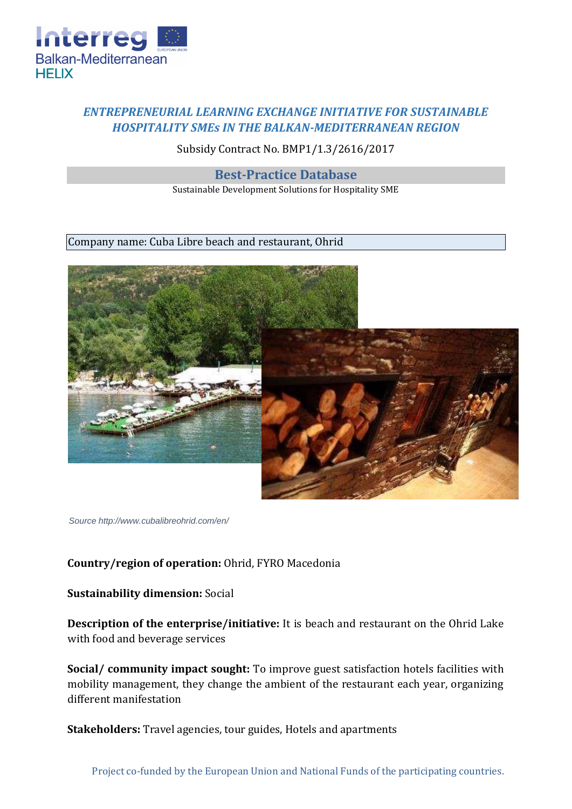

## *ENTREPRENEURIAL LEARNING EXCHANGE INITIATIVE FOR SUSTAINABLE HOSPITALITY SMEs IN THE BALKAN-MEDITERRANEAN REGION*

Subsidy Contract No. BMP1/1.3/2616/2017

**Best-Practice Database** 

Sustainable Development Solutions for Hospitality SME

Company name: Cuba Libre beach and restaurant, Ohrid



*Source http://www.cubalibreohrid.com/en/*

## **Country/region of operation:** Ohrid, FYRO Macedonia

## **Sustainability dimension:** Social

**Description of the enterprise/initiative:** It is beach and restaurant on the Ohrid Lake with food and beverage services

**Social/ community impact sought:** To improve guest satisfaction hotels facilities with mobility management, they change the ambient of the restaurant each year, organizing different manifestation

**Stakeholders:** Travel agencies, tour guides, Hotels and apartments